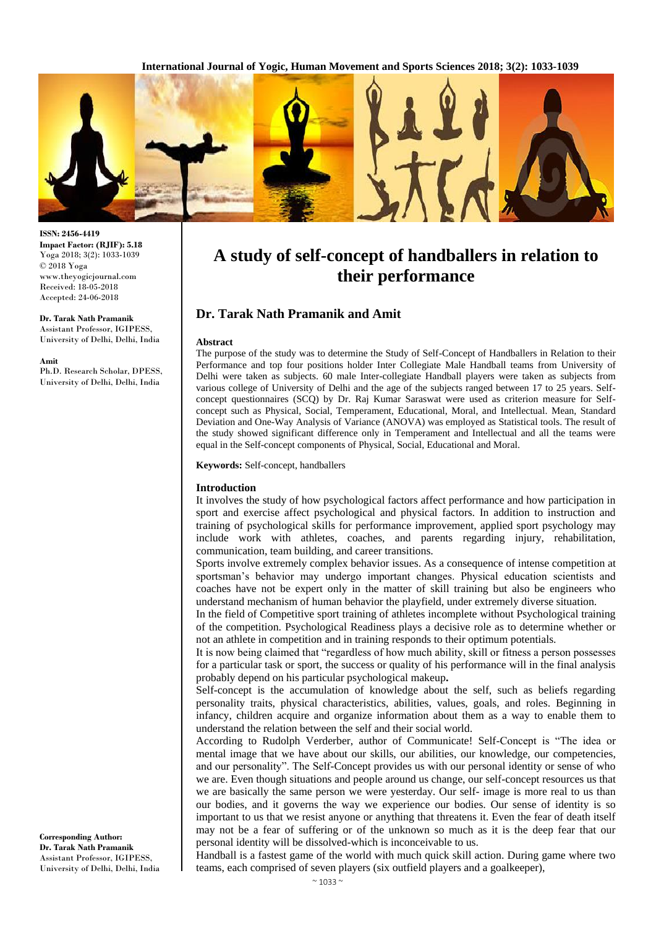**International Journal of Yogic, Human Movement and Sports Sciences 2018; 3(2): 1033-1039**



**ISSN: 2456-4419 Impact Factor: (RJIF): 5.18** Yoga 2018; 3(2): 1033-1039 © 2018 Yoga www.theyogicjournal.com Received: 18-05-2018 Accepted: 24-06-2018

**Dr. Tarak Nath Pramanik** Assistant Professor, IGIPESS, University of Delhi, Delhi, India

**Amit**

Ph.D. Research Scholar, DPESS, University of Delhi, Delhi, India

# **A study of self-concept of handballers in relation to their performance**

# **Dr. Tarak Nath Pramanik and Amit**

#### **Abstract**

The purpose of the study was to determine the Study of Self-Concept of Handballers in Relation to their Performance and top four positions holder Inter Collegiate Male Handball teams from University of Delhi were taken as subjects. 60 male Inter-collegiate Handball players were taken as subjects from various college of University of Delhi and the age of the subjects ranged between 17 to 25 years. Selfconcept questionnaires (SCQ) by Dr. Raj Kumar Saraswat were used as criterion measure for Selfconcept such as Physical, Social, Temperament, Educational, Moral, and Intellectual. Mean, Standard Deviation and One-Way Analysis of Variance (ANOVA) was employed as Statistical tools. The result of the study showed significant difference only in Temperament and Intellectual and all the teams were equal in the Self-concept components of Physical, Social, Educational and Moral.

**Keywords:** Self-concept, handballers

#### **Introduction**

It involves the study of how psychological factors affect performance and how participation in sport and exercise affect psychological and physical factors. In addition to instruction and training of psychological skills for performance improvement, applied sport psychology may include work with athletes, coaches, and parents regarding injury, rehabilitation, communication, team building, and career transitions.

Sports involve extremely complex behavior issues. As a consequence of intense competition at sportsman's behavior may undergo important changes. Physical education scientists and coaches have not be expert only in the matter of skill training but also be engineers who understand mechanism of human behavior the playfield, under extremely diverse situation.

In the field of Competitive sport training of athletes incomplete without Psychological training of the competition. Psychological Readiness plays a decisive role as to determine whether or not an athlete in competition and in training responds to their optimum potentials.

It is now being claimed that "regardless of how much ability, skill or fitness a person possesses for a particular task or sport, the success or quality of his performance will in the final analysis probably depend on his particular psychological makeup**.**

Self-concept is the accumulation of knowledge about the self, such as beliefs regarding personality traits, physical characteristics, abilities, values, goals, and roles. Beginning in infancy, children acquire and organize information about them as a way to enable them to understand the relation between the self and their social world.

According to Rudolph Verderber, author of Communicate! Self-Concept is "The idea or mental image that we have about our skills, our abilities, our knowledge, our competencies, and our personality". The Self-Concept provides us with our personal identity or sense of who we are. Even though situations and people around us change, our self-concept resources us that we are basically the same person we were yesterday. Our self- image is more real to us than our bodies, and it governs the way we experience our bodies. Our sense of identity is so important to us that we resist anyone or anything that threatens it. Even the fear of death itself may not be a fear of suffering or of the unknown so much as it is the deep fear that our personal identity will be dissolved-which is inconceivable to us.

Handball is a fastest game of the world with much quick skill action. During game where two teams, each comprised of seven players (six outfield players and a goalkeeper),

**Corresponding Author: Dr. Tarak Nath Pramanik** Assistant Professor, IGIPESS, University of Delhi, Delhi, India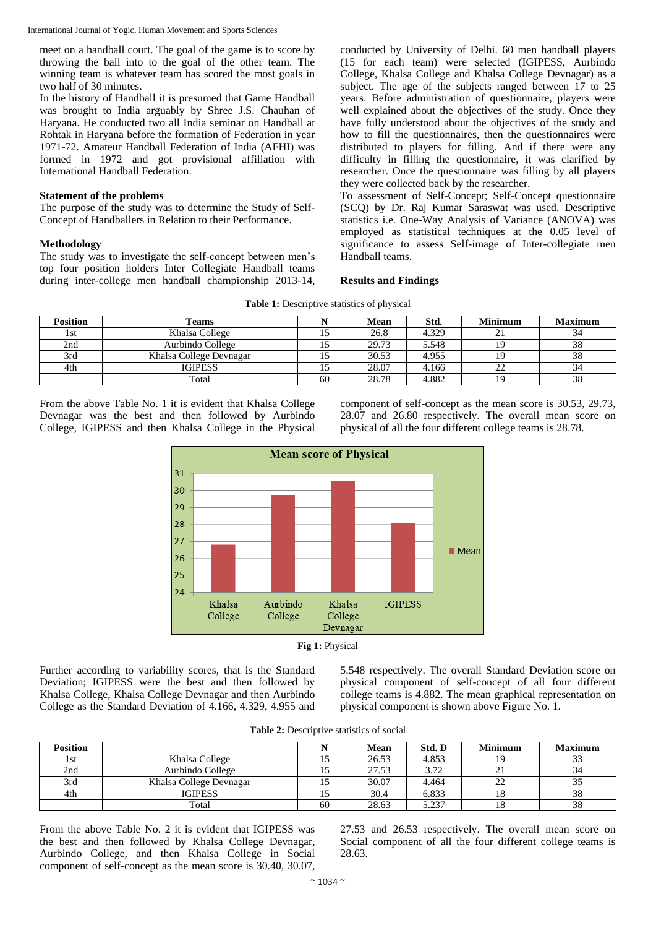meet on a handball court. The goal of the game is to score by throwing the ball into to the goal of the other team. The winning team is whatever team has scored the most goals in two half of 30 minutes.

In the history of Handball it is presumed that Game Handball was brought to India arguably by Shree J.S. Chauhan of Haryana. He conducted two all India seminar on Handball at Rohtak in Haryana before the formation of Federation in year 1971-72. Amateur Handball Federation of India (AFHI) was formed in 1972 and got provisional affiliation with International Handball Federation.

### **Statement of the problems**

The purpose of the study was to determine the Study of Self-Concept of Handballers in Relation to their Performance.

#### **Methodology**

The study was to investigate the self-concept between men's top four position holders Inter Collegiate Handball teams during inter-college men handball championship 2013-14, conducted by University of Delhi. 60 men handball players (15 for each team) were selected (IGIPESS, Aurbindo College, Khalsa College and Khalsa College Devnagar) as a subject. The age of the subjects ranged between 17 to 25 years. Before administration of questionnaire, players were well explained about the objectives of the study. Once they have fully understood about the objectives of the study and how to fill the questionnaires, then the questionnaires were distributed to players for filling. And if there were any difficulty in filling the questionnaire, it was clarified by researcher. Once the questionnaire was filling by all players they were collected back by the researcher.

To assessment of Self-Concept; Self-Concept questionnaire (SCQ) by Dr. Raj Kumar Saraswat was used. Descriptive statistics i.e. One-Way Analysis of Variance (ANOVA) was employed as statistical techniques at the 0.05 level of significance to assess Self-image of Inter-collegiate men Handball teams.

#### **Results and Findings**

| Table 1: Descriptive statistics of physical |  |  |  |  |  |  |  |
|---------------------------------------------|--|--|--|--|--|--|--|
|---------------------------------------------|--|--|--|--|--|--|--|

| <b>Position</b> | <b>Teams</b>            |    | Mean  | Std.  | <b>Minimum</b> | <b>Maximum</b> |
|-----------------|-------------------------|----|-------|-------|----------------|----------------|
| l st            | Khalsa College          |    | 26.8  | 4.329 | ∠⊥             | 34             |
| 2nd             | Aurbindo College        |    | 29.73 | 5.548 |                | 38             |
| 3rd             | Khalsa College Devnagar |    | 30.53 | 4.955 |                | 38             |
| 4th             | <b>IGIPESS</b>          |    | 28.07 | 4.166 | າາ<br>∠∠       | 34             |
|                 | Total                   | 60 | 28.78 | 4.882 |                | 38             |

From the above Table No. 1 it is evident that Khalsa College Devnagar was the best and then followed by Aurbindo College, IGIPESS and then Khalsa College in the Physical component of self-concept as the mean score is 30.53, 29.73, 28.07 and 26.80 respectively. The overall mean score on physical of all the four different college teams is 28.78.



**Fig 1:** Physical

Further according to variability scores, that is the Standard Deviation; IGIPESS were the best and then followed by Khalsa College, Khalsa College Devnagar and then Aurbindo College as the Standard Deviation of 4.166, 4.329, 4.955 and

5.548 respectively. The overall Standard Deviation score on physical component of self-concept of all four different college teams is 4.882. The mean graphical representation on physical component is shown above Figure No. 1.

| <b>Position</b> |                         |    | Mean  | Std. D | <b>Minimum</b> | <b>Maximum</b> |
|-----------------|-------------------------|----|-------|--------|----------------|----------------|
| 1st             | Khalsa College          |    | 26.53 | 4.853  |                | $\sim$<br>JЭ   |
| 2nd             | Aurbindo College        |    | 27.53 | 3.72   | $\sim$ 1       | 34             |
| 3rd             | Khalsa College Devnagar |    | 30.07 | 4.464  | ∠∠             | 35             |
| 4th             | <b>IGIPESS</b>          |    | 30.4  | 6.833  | 18             | 38             |
|                 | Total                   | 60 | 28.63 | 5 727  | 18             | 38             |

From the above Table No. 2 it is evident that IGIPESS was the best and then followed by Khalsa College Devnagar, Aurbindo College, and then Khalsa College in Social component of self-concept as the mean score is 30.40, 30.07, 27.53 and 26.53 respectively. The overall mean score on Social component of all the four different college teams is 28.63.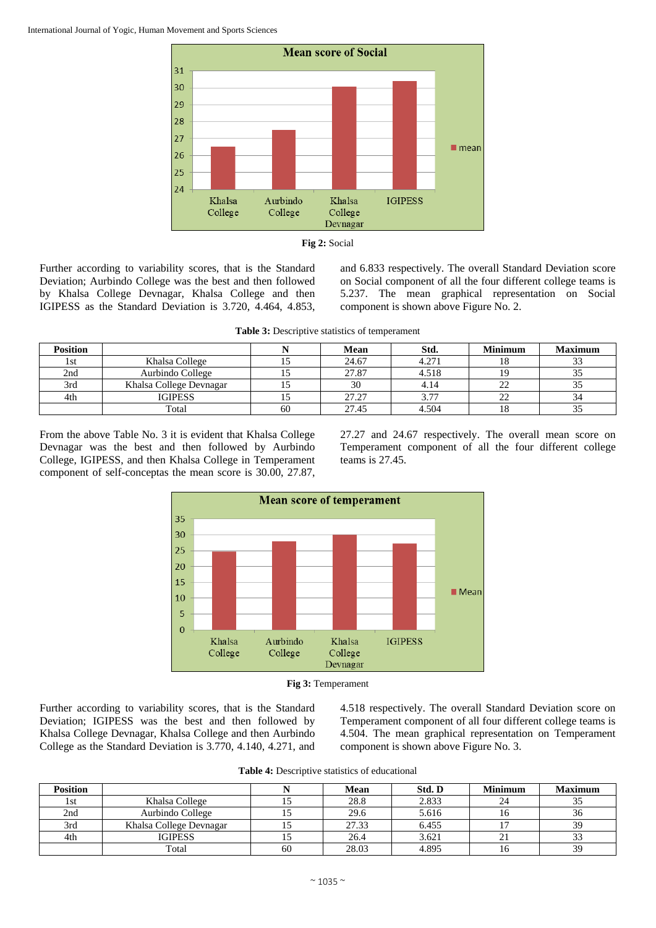



Further according to variability scores, that is the Standard Deviation; Aurbindo College was the best and then followed by Khalsa College Devnagar, Khalsa College and then IGIPESS as the Standard Deviation is 3.720, 4.464, 4.853,

and 6.833 respectively. The overall Standard Deviation score on Social component of all the four different college teams is 5.237. The mean graphical representation on Social component is shown above Figure No. 2.

**Table 3:** Descriptive statistics of temperament

| <b>Position</b> |                         |    | Mean  | Std.  | <b>Minimum</b> | <b>Maximum</b> |
|-----------------|-------------------------|----|-------|-------|----------------|----------------|
| 1st             | Khalsa College          |    | 24.67 | 4.271 | 18             | $\sim$         |
| 2nd             | Aurbindo College        |    | 27.87 | 4.518 |                | ◡              |
| 3rd             | Khalsa College Devnagar |    | 30    | 4.14  | 22             |                |
| 4th             | <b>IGIPESS</b>          |    | 27.27 | 3.77  | 22             | 34             |
|                 | Total                   | 60 | 27.45 | 4.504 | 18             | ر.ر            |

From the above Table No. 3 it is evident that Khalsa College Devnagar was the best and then followed by Aurbindo College, IGIPESS, and then Khalsa College in Temperament component of self-conceptas the mean score is 30.00, 27.87, 27.27 and 24.67 respectively. The overall mean score on Temperament component of all the four different college teams is 27.45.





Further according to variability scores, that is the Standard Deviation; IGIPESS was the best and then followed by Khalsa College Devnagar, Khalsa College and then Aurbindo College as the Standard Deviation is 3.770, 4.140, 4.271, and 4.518 respectively. The overall Standard Deviation score on Temperament component of all four different college teams is 4.504. The mean graphical representation on Temperament component is shown above Figure No. 3.

**Table 4:** Descriptive statistics of educational

| <b>Position</b> |                         |    | <b>Mean</b> | Std. D | <b>Minimum</b> | <b>Maximum</b> |
|-----------------|-------------------------|----|-------------|--------|----------------|----------------|
| 1st             | Khalsa College          |    | 28.8        | 2.833  | 24             |                |
| 2nd             | Aurbindo College        |    | 29.6        | 5.616  | 16             | 36             |
| 3rd             | Khalsa College Devnagar |    | 27.33       | 6.455  |                |                |
| 4th             | <b>IGIPESS</b>          |    | 26.4        | 3.621  | 21             |                |
|                 | Total                   | 60 | 28.03       | 4.895  |                | 39             |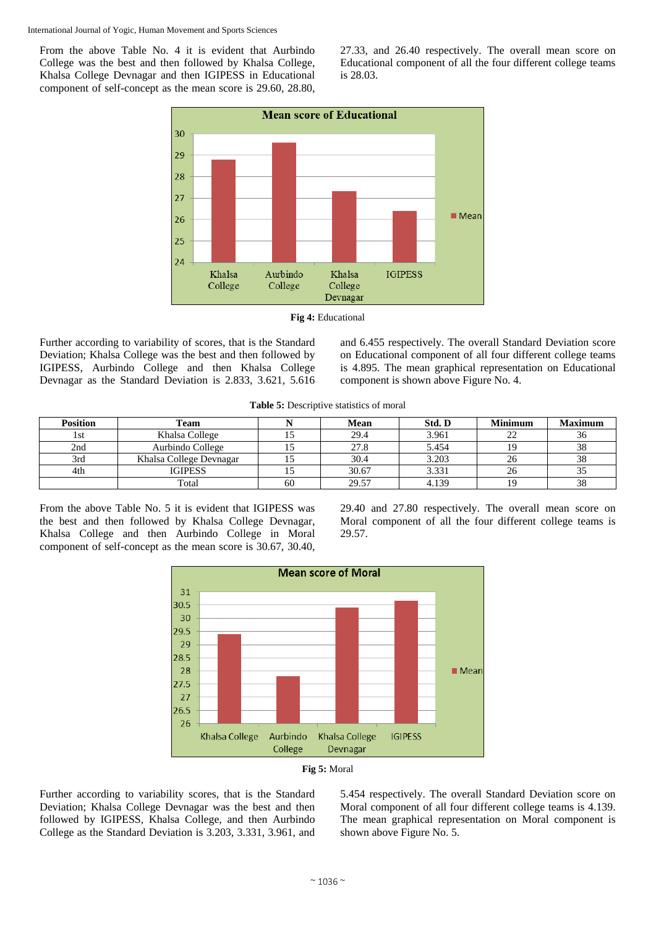From the above Table No. 4 it is evident that Aurbindo College was the best and then followed by Khalsa College, Khalsa College Devnagar and then IGIPESS in Educational component of self-concept as the mean score is 29.60, 28.80, 27.33, and 26.40 respectively. The overall mean score on Educational component of all the four different college teams is 28.03.



**Fig 4:** Educational

Further according to variability of scores, that is the Standard Deviation; Khalsa College was the best and then followed by IGIPESS, Aurbindo College and then Khalsa College Devnagar as the Standard Deviation is 2.833, 3.621, 5.616 and 6.455 respectively. The overall Standard Deviation score on Educational component of all four different college teams is 4.895. The mean graphical representation on Educational component is shown above Figure No. 4.

**Table 5:** Descriptive statistics of moral

| <b>Position</b> | Team                    |    | Mean  | Std. D | <b>Minimum</b> | <b>Maximum</b> |
|-----------------|-------------------------|----|-------|--------|----------------|----------------|
| 1st             | Khalsa College          |    | 29.4  | 3.961  |                | 30             |
| 2nd             | Aurbindo College        |    | 27.8  | 5.454  |                | 38             |
| 3rd             | Khalsa College Devnagar |    | 30.4  | 3.203  |                | 38             |
| 4th             | <b>IGIPESS</b>          |    | 30.67 | 3.331  | 26             |                |
|                 | Total                   | 60 | 29.57 | 4.139  |                | 38             |

From the above Table No. 5 it is evident that IGIPESS was the best and then followed by Khalsa College Devnagar, Khalsa College and then Aurbindo College in Moral component of self-concept as the mean score is 30.67, 30.40, 29.40 and 27.80 respectively. The overall mean score on Moral component of all the four different college teams is 29.57.





Further according to variability scores, that is the Standard Deviation; Khalsa College Devnagar was the best and then followed by IGIPESS, Khalsa College, and then Aurbindo College as the Standard Deviation is 3.203, 3.331, 3.961, and 5.454 respectively. The overall Standard Deviation score on Moral component of all four different college teams is 4.139. The mean graphical representation on Moral component is shown above Figure No. 5.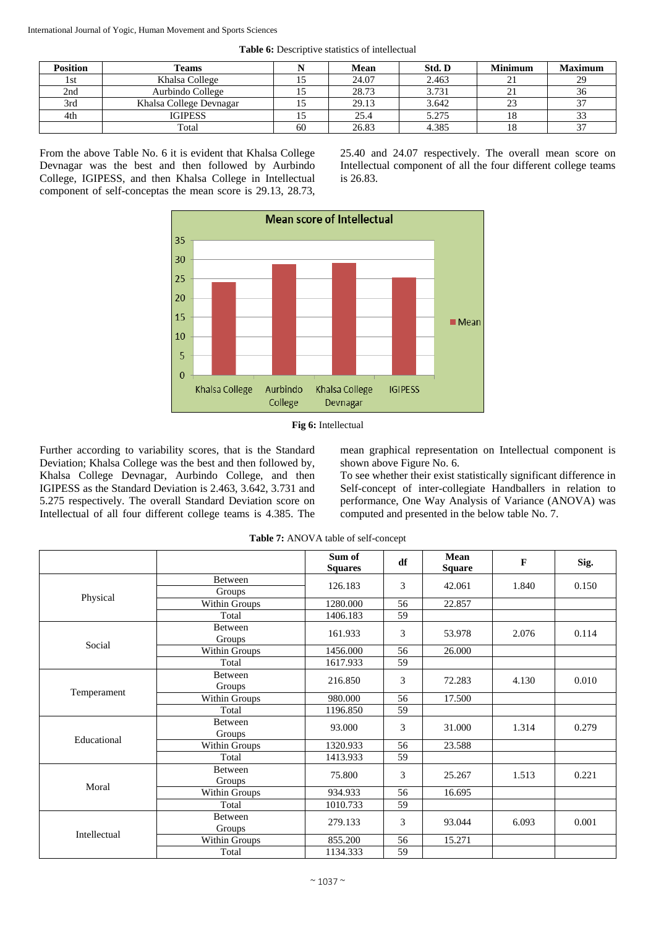| <b>Position</b> | Teams                   |    | Mean  | Std. D | <b>Minimum</b> | <b>Maximum</b> |
|-----------------|-------------------------|----|-------|--------|----------------|----------------|
| 1st             | Khalsa College          |    | 24.07 | 2.463  |                | 29             |
| 2nd             | Aurbindo College        |    | 28.73 | 3.731  | ∸.             | 36             |
| 3rd             | Khalsa College Devnagar |    | 29.13 | 3.642  |                | 37             |
| 4th             | <b>IGIPESS</b>          |    | 25.4  | 5.275  |                | 33             |
|                 | Total                   | 60 | 26.83 | 4.385  |                | 37             |

**Table 6:** Descriptive statistics of intellectual

From the above Table No. 6 it is evident that Khalsa College Devnagar was the best and then followed by Aurbindo College, IGIPESS, and then Khalsa College in Intellectual component of self-conceptas the mean score is 29.13, 28.73, 25.40 and 24.07 respectively. The overall mean score on Intellectual component of all the four different college teams is 26.83.





Further according to variability scores, that is the Standard Deviation; Khalsa College was the best and then followed by, Khalsa College Devnagar, Aurbindo College, and then IGIPESS as the Standard Deviation is 2.463, 3.642, 3.731 and 5.275 respectively. The overall Standard Deviation score on Intellectual of all four different college teams is 4.385. The

mean graphical representation on Intellectual component is shown above Figure No. 6.

To see whether their exist statistically significant difference in Self-concept of inter-collegiate Handballers in relation to performance, One Way Analysis of Variance (ANOVA) was computed and presented in the below table No. 7.

|              |                   | Sum of<br><b>Squares</b> | df     | Mean<br><b>Square</b> | F     | Sig.  |
|--------------|-------------------|--------------------------|--------|-----------------------|-------|-------|
|              | <b>Between</b>    |                          |        |                       |       |       |
|              | Groups            | 126.183                  | 3      | 42.061                | 1.840 | 0.150 |
| Physical     | Within Groups     | 1280.000                 | 56     | 22.857                |       |       |
|              | Total             | 1406.183                 | 59     |                       |       |       |
|              | Between<br>Groups | 161.933                  | 3      | 53.978                | 2.076 | 0.114 |
| Social       | Within Groups     | 1456.000                 | 56     | 26.000                |       |       |
|              | Total             | 1617.933                 | 59     |                       |       |       |
|              | Between<br>Groups | 3<br>216.850             | 72.283 | 4.130                 | 0.010 |       |
| Temperament  | Within Groups     | 980.000                  | 56     | 17.500                |       |       |
|              | Total             | 1196.850                 | 59     |                       |       |       |
|              | Between<br>Groups | 93.000                   | 3      | 31.000                | 1.314 | 0.279 |
| Educational  | Within Groups     | 1320.933                 | 56     | 23.588                |       |       |
|              | Total             | 1413.933                 | 59     |                       |       |       |
|              | Between<br>Groups | 75.800                   | 3      | 25.267                | 1.513 | 0.221 |
| Moral        | Within Groups     | 934.933                  | 56     | 16.695                |       |       |
|              | Total             | 1010.733                 | 59     |                       |       |       |
| Intellectual | Between<br>Groups | 279.133                  | 3      | 93.044                | 6.093 | 0.001 |
|              | Within Groups     | 855.200                  | 56     | 15.271                |       |       |
|              | Total             | 1134.333                 | 59     |                       |       |       |

**Table 7:** ANOVA table of self-concept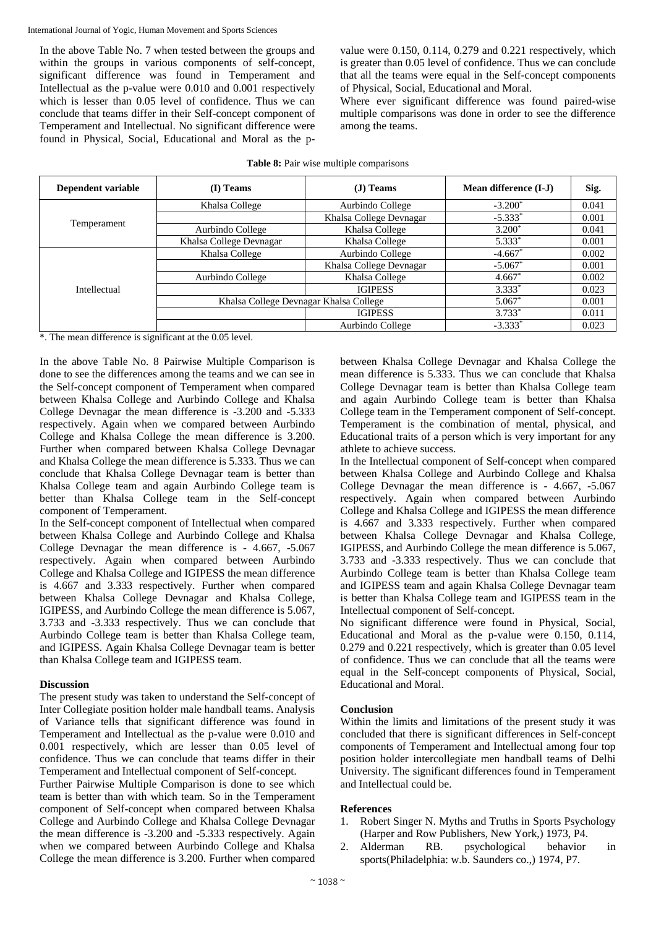In the above Table No. 7 when tested between the groups and within the groups in various components of self-concept, significant difference was found in Temperament and Intellectual as the p-value were 0.010 and 0.001 respectively which is lesser than 0.05 level of confidence. Thus we can conclude that teams differ in their Self-concept component of Temperament and Intellectual. No significant difference were found in Physical, Social, Educational and Moral as the p-

value were 0.150, 0.114, 0.279 and 0.221 respectively, which is greater than 0.05 level of confidence. Thus we can conclude that all the teams were equal in the Self-concept components of Physical, Social, Educational and Moral.

Where ever significant difference was found paired-wise multiple comparisons was done in order to see the difference among the teams.

| Dependent variable          | (I) Teams               | $(J)$ Teams                                                 | Mean difference (I-J) | Sig.  |
|-----------------------------|-------------------------|-------------------------------------------------------------|-----------------------|-------|
|                             | Khalsa College          | Aurbindo College                                            | $-3.200*$             | 0.041 |
|                             |                         | Khalsa College Devnagar                                     | $-5.333*$             | 0.001 |
|                             | Aurbindo College        | Khalsa College                                              | $3.200*$              | 0.041 |
|                             | Khalsa College Devnagar | $5.333*$<br>Khalsa College<br>Aurbindo College<br>$-4.667*$ | 0.001                 |       |
| Temperament<br>Intellectual | Khalsa College          |                                                             |                       | 0.002 |
|                             |                         | Khalsa College Devnagar                                     | $-5.067*$             | 0.001 |
|                             | Aurbindo College        | Khalsa College                                              | $4.667*$              | 0.002 |
|                             |                         | <b>IGIPESS</b>                                              | $3.333*$              | 0.023 |
|                             |                         | Khalsa College Devnagar Khalsa College                      |                       | 0.001 |
|                             |                         | <b>IGIPESS</b>                                              | $3.733*$              | 0.011 |
|                             |                         | Aurbindo College                                            | $-3.333*$             | 0.023 |

#### **Table 8:** Pair wise multiple comparisons

\*. The mean difference is significant at the 0.05 level.

In the above Table No. 8 Pairwise Multiple Comparison is done to see the differences among the teams and we can see in the Self-concept component of Temperament when compared between Khalsa College and Aurbindo College and Khalsa College Devnagar the mean difference is -3.200 and -5.333 respectively. Again when we compared between Aurbindo College and Khalsa College the mean difference is 3.200. Further when compared between Khalsa College Devnagar and Khalsa College the mean difference is 5.333. Thus we can conclude that Khalsa College Devnagar team is better than Khalsa College team and again Aurbindo College team is better than Khalsa College team in the Self-concept component of Temperament.

In the Self-concept component of Intellectual when compared between Khalsa College and Aurbindo College and Khalsa College Devnagar the mean difference is - 4.667, -5.067 respectively. Again when compared between Aurbindo College and Khalsa College and IGIPESS the mean difference is 4.667 and 3.333 respectively. Further when compared between Khalsa College Devnagar and Khalsa College, IGIPESS, and Aurbindo College the mean difference is 5.067, 3.733 and -3.333 respectively. Thus we can conclude that Aurbindo College team is better than Khalsa College team, and IGIPESS. Again Khalsa College Devnagar team is better than Khalsa College team and IGIPESS team.

# **Discussion**

The present study was taken to understand the Self-concept of Inter Collegiate position holder male handball teams. Analysis of Variance tells that significant difference was found in Temperament and Intellectual as the p-value were 0.010 and 0.001 respectively, which are lesser than 0.05 level of confidence. Thus we can conclude that teams differ in their Temperament and Intellectual component of Self-concept.

Further Pairwise Multiple Comparison is done to see which team is better than with which team. So in the Temperament component of Self-concept when compared between Khalsa College and Aurbindo College and Khalsa College Devnagar the mean difference is -3.200 and -5.333 respectively. Again when we compared between Aurbindo College and Khalsa College the mean difference is 3.200. Further when compared between Khalsa College Devnagar and Khalsa College the mean difference is 5.333. Thus we can conclude that Khalsa College Devnagar team is better than Khalsa College team and again Aurbindo College team is better than Khalsa College team in the Temperament component of Self-concept. Temperament is the combination of mental, physical, and Educational traits of a person which is very important for any athlete to achieve success.

In the Intellectual component of Self-concept when compared between Khalsa College and Aurbindo College and Khalsa College Devnagar the mean difference is - 4.667, -5.067 respectively. Again when compared between Aurbindo College and Khalsa College and IGIPESS the mean difference is 4.667 and 3.333 respectively. Further when compared between Khalsa College Devnagar and Khalsa College, IGIPESS, and Aurbindo College the mean difference is 5.067, 3.733 and -3.333 respectively. Thus we can conclude that Aurbindo College team is better than Khalsa College team and IGIPESS team and again Khalsa College Devnagar team is better than Khalsa College team and IGIPESS team in the Intellectual component of Self-concept.

No significant difference were found in Physical, Social, Educational and Moral as the p-value were 0.150, 0.114, 0.279 and 0.221 respectively, which is greater than 0.05 level of confidence. Thus we can conclude that all the teams were equal in the Self-concept components of Physical, Social, Educational and Moral.

# **Conclusion**

Within the limits and limitations of the present study it was concluded that there is significant differences in Self-concept components of Temperament and Intellectual among four top position holder intercollegiate men handball teams of Delhi University. The significant differences found in Temperament and Intellectual could be.

# **References**

- 1. Robert Singer N. Myths and Truths in Sports Psychology (Harper and Row Publishers, New York,) 1973, P4.
- 2. Alderman RB. psychological behavior in sports(Philadelphia: w.b. Saunders co.,) 1974, P7.